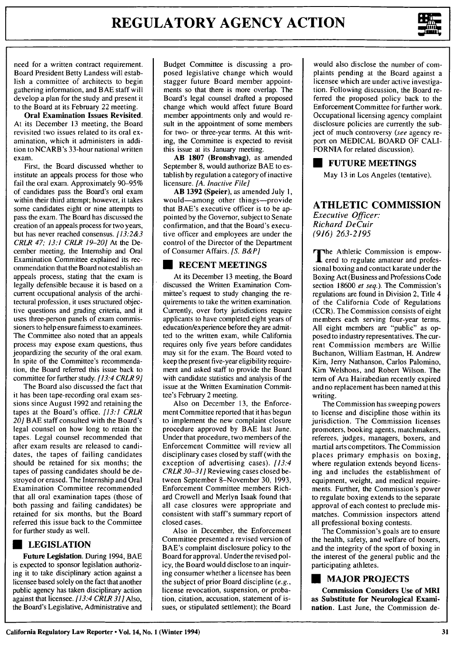

need for a written contract requirement. Board President Betty Landess will establish a committee of architects to begin gathering information, and BAE staff will develop a plan for the study and present it to the Board at its February 22 meeting.

Oral Examination Issues Revisited. At its December 13 meeting, the Board revisited two issues related to its oral examination, which it administers in addition to NCARB's 33-hour national written exam.

First, the Board discussed whether to institute an appeals process for those who fail the oral exam. Approximately 90-95% of candidates pass the Board's oral exam within their third attempt; however, it takes some candidates eight or nine attempts to pass the exam. The Board has discussed the creation of an appeals process for two years, but has never reached consensus.  $11\overline{3}$ :2&3 CRLR *47; 13:1 CRLR 19-20]* At the December meeting, the Internship and Oral Examination Committee explained its recommendation that the Board not establish an appeals process, stating that the exam is legally defensible because it is based on a current occupational analysis of the architectural profession, it uses structured objective questions and grading criteria, and it uses three-person panels of exam commissioners to help ensure fairness to examinees. The Committee also noted that an appeals process may expose exam questions, thus jeopardizing the security of the oral exam. In spite of the Committee's recommendation, the Board referred this issue back to committee for further study. *[13:4 CRLR 9]*

The Board also discussed the fact that it has been tape-recording oral exam sessions since August 1992 and retaining the tapes at the Board's office. *[13:1 CRLR 20]* BAE staff consulted with the Board's legal counsel on how long to retain the tapes. Legal counsel recommended that after exam results are released to candidates, the tapes of failing candidates should be retained for six months; the tapes of passing candidates should be destroyed or erased. The Internship and Oral Examination Committee recommended that all oral examination tapes (those of both passing and failing candidates) be retained for six months, but the Board referred this issue back to the Committee for further study as well.

## **U LEGISLATION**

**Future Legislation. During 1994, BAE** is expected to sponsor legislation authorizing it to take disciplinary action against a licensee based solely on the fact that another public agency has taken disciplinary action against that licensee. *[13:4 CRLR 31]* Also, the Board's Legislative, Administrative and

Budget Committee is discussing a proposed legislative change which would stagger future Board member appointments so that there is more overlap. The Board's legal counsel drafted a proposed change which would affect future Board member appointments only and would result in the appointment of some members for two- or three-year terms. At this writing, the Committee is expected to revisit this issue at its January meeting.

AB **1807** (Bronshvag), as amended September 8, would authorize BAE to establish by regulation a category of inactive licensure. *[A. Inactive File]*

**AB 1392** (Speier), as amended July 1, would-among other things-provide that BAE's executive officer is to be appointed by the Governor, subject to Senate confirmation, and that the Board's executive officer and employees are under the control of the Director of the Department of Consumer Affairs. *[S. B&P]*

#### **\* RECENT MEETINGS**

At its December 13 meeting, the Board discussed the Written Examination Committee's request to study changing the requirements to take the written examination. Currently, over forty jurisdictions require applicants to have completed eight years of education/experience before they are admitted to the written exam, while California requires only five years before candidates may sit for the exam. The Board voted to keep the present five-year eligibility requirement and asked staff to provide the Board with candidate statistics and analysis of the issue at the Written Examination Committee's February 2 meeting.

Also on December 13, the Enforcement Committee reported that it has begun to implement the new complaint closure procedure approved by BAE last June. Under that procedure, two members of the Enforcement Committee will review all disciplinary cases closed by staff (with the exception of advertising cases). *[13:4 CRLR 30-31]* Reviewing cases closed between September 8-November 30, 1993, Enforcement Committee members Richard Crowell and Merlyn Isaak found that all case closures were appropriate and consistent with staff's summary report of closed cases.

Also in December, the Enforcement Committee presented a revised version of BAE's complaint disclosure policy to the Board for approval. Underthe revised policy, the Board would disclose to an inquiring consumer whether a licensee has been the subject of prior Board discipline *(e.g.,* license revocation, suspension, or probation, citation, accusation, statement of issues, or stipulated settlement); the Board would also disclose the number of complaints pending at the Board against a licensee which are under active investigation. Following discussion, the Board referred the proposed policy back to the Enforcement Committee for further work. Occupational licensing agency complaint disclosure policies are currently the subject of much controversy *(see* agency report on MEDICAL BOARD OF CALI-FORNIA for related discussion).

## **U FUTURE MEETINGS**

May **13** in Los Angeles (tentative).

#### **ATHLETIC COMMISSION** *Executive Officer:*

*Richard DeCuir (916) 263-2195*

**T** The Athletic Commission is empowered to regulate amateur and professional boxing and contact karate under the Boxing Act (Business and Professions Code section **18600** *et seq.).* The Commission's regulations are found in Division 2, Title 4 of the California Code of Regulations (CCR). The Commission consists of eight members each serving four-year terms. **All** eight members are "public" as opposed to industry representatives. The current Commission members are Willie Buchanon, William Eastman, H. Andrew Kim, Jerry Nathanson, Carlos Palomino, Kim Welshons, and Robert Wilson. The term of Ara Hairabedian recently expired and no replacement has been named at this writing.

The Commission has sweeping powers to license and discipline those within its jurisdiction. The Commission licenses promoters, booking agents, matchmakers, referees, judges, managers, boxers, and martial arts competitors. The Commission places primary emphasis on boxing, where regulation extends beyond licensing and includes the establishment of equipment, weight, and medical requirements. Further, the Commission's power to regulate boxing extends to the separate approval of each contest to preclude mismatches. Commission inspectors attend all professional boxing contests.

The Commission's goals are to ensure the health, safety, and welfare of boxers, and the integrity of the sport of boxing in the interest of the general public and the participating athletes.

## **U MAJOR PROJECTS**

**Commission Considers Use of MRI as Substitute for Neurological Examination.** Last June, the Commission de-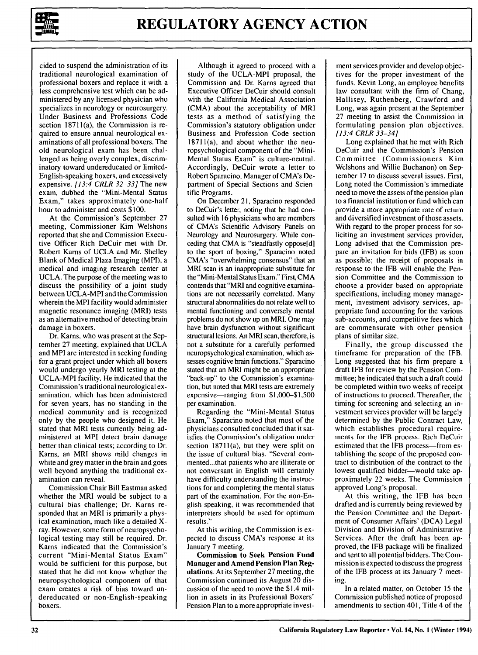

cided to suspend the administration of its traditional neurological examination of professional boxers and replace it with a less comprehensive test which can be administered by any licensed physician who specializes in neurology or neurosurgery. Under Business and Professions Code section 18711(a), the Commission is required to ensure annual neurological examinations of all professional boxers. The old neurological exam has been challenged as being overly complex, discriminatory toward undereducated or limited-English-speaking boxers, and excessively expensive. *[13:4 CRLR 32-33]* The new exam, dubbed the "Mini-Mental Status Exam," takes approximately one-half hour to administer and costs \$100.

At the Commission's September 27 meeting, Commissioner Kim Welshons reported that she and Commission Executive Officer Rich DeCuir met with Dr. Robert Karns of UCLA and Mr. Shelley Blank of Medical Plaza Imaging (MPI), a medical and imaging research center at UCLA. The purpose of the meeting was to discuss the possibility of a joint study between UCLA-MPI and the Commission wherein the MPI facility would administer magnetic resonance imaging (MRI) tests as an alternative method of detecting brain damage in boxers.

Dr. Karns, who was present at the September 27 meeting, explained that UCLA and MPI are interested in seeking funding for a grant project under which all boxers would undergo yearly MRI testing at the UCLA-MPI facility. He indicated that the Commission's traditional neurological examination, which has been administered for seven years, has no standing in the medical community and is recognized only by the people who designed it. He stated that MRI tests currently being administered at MPI detect brain damage better than clinical tests; according to Dr. Karns, an MRI shows mild changes in white and grey matter in the brain and goes well beyond anything the traditional examination can reveal.

Commission Chair Bill Eastman asked whether the MRI would be subject to a cultural bias challenge; Dr. Karns responded that an MRI is primarily a physical examination, much like a detailed Xray. However, some form of neuropsychological testing may still be required. Dr. Karns indicated that the Commission's current "Mini-Mental Status Exam" would be sufficient for this purpose, but stated that he did not know whether the neuropsychological component of that exam creates a risk of bias toward undereducated or non-English-speaking boxers.

Although it agreed to proceed with a study of the UCLA-MPI proposal, the Commission and Dr. Karns agreed that Executive Officer DeCuir should consult with the California Medical Association (CMA) about the acceptability of MRI tests as a method of satisfying the Commission's statutory obligation under Business and Profession Code section 18711(a), and about whether the neuropsychological component of the "Mini-Mental Status Exam" is culture-neutral. Accordingly, DeCuir wrote a letter to Robert Sparacino, Manager of CMA's Department of Special Sections and Scientific Programs.

On December 21, Sparacino responded to DeCuir's letter, noting that he had consulted with 16 physicians who are members of CMA's Scientific Advisory Panels on Neurology and Neurosurgery. While conceding that CMA is "steadfastly oppose[d] to the sport of boxing," Sparacino noted CMA's "overwhelming consensus" that an MRI scan is an inappropriate substitute for the "Mini-Mental Status Exam." First, CMA contends that "MR] and cognitive examinations are not necessarily correlated. Many structural abnormalities do not relate well to mental functioning and conversely mental problems do not show up on MRI. One may have brain dysfunction without significant structural lesions. An MRI scan, therefore, is not a substitute for a carefully performed neuropsychological examination, which assesses cognitive brain functions." Sparacino stated that an MRI might be an appropriate "back-up" to the Commission's examination, but noted that MRI tests are extremely expensive-ranging from \$1,000-\$1,500 per examination.

Regarding the "Mini-Mental Status Exam," Sparacino noted that most of the physicians consulted concluded that it satisfies the Commission's obligation under section  $18711(a)$ , but they were split on the issue of cultural bias. "Several commented...that patients who are illiterate or not conversant in English will certainly have difficulty understanding the instructions for and completing the mental status part of the examination. For the non-English speaking, it was recommended that interpreters should be used for optimum results."

At this writing, the Commission is expected to discuss CMA's response at its January 7 meeting.

**Commission to Seek Pension Fund Manager and Amend Pension Plan Regulations. At** its September **27** meeting, the **Commission continued its August** 20 discussion of the need to move the \$1.4 million in assets in its Professional Boxers' Pension Plan to a more appropriate investment services provider and develop objectives for the proper investment of the funds. Kevin Long, an employee benefits law consultant with the firm of Chang, Hallisey, Ruthenberg, Crawford and Long, was again present at the September 27 meeting to assist the Commission in formulating pension plan objectives. *[13:4* CRLR 33-34]

Long explained that he met with Rich DeCuir and the Commission's Pension Committee (Commissioners Kim Welshons and Willie Buchanon) on September 17 to discuss several issues. First, Long noted the Commission's immediate need to move the assets of the pension plan to a financial institution or fund which can provide a more appropriate rate of return and diversified investment of those assets. With regard to the proper process for soliciting an investment services provider, Long advised that the Commission prepare an invitation for bids (IFB) as soon as possible; the receipt of proposals in response to the IFB will enable the Pension Committee and the Commission to choose a provider based on appropriate specifications, including money management, investment advisory services, appropriate fund accounting for the various sub-accounts, and competitive fees which are commensurate with other pension plans of similar size.

Finally, the group discussed the timeframe for preparation of the IFB. Long suggested that his firm prepare a draft IFB for review by the Pension Committee; he indicated that such a draft could be completed within two weeks of receipt of instructions to proceed. Thereafter, the timing for screening and selecting an investment services provider will be largely determined by the Public Contract Law, which establishes procedural requirements for the IFB process. Rich DeCuir estimated that the IFB process-from establishing the scope of the proposed contract to distribution of the contract to the lowest qualified bidder-would take approximately 22 weeks. The Commission approved Long's proposal.

At this writing, the IFB has been drafted and is currently being reviewed by the Pension Committee and the Department of Consumer Affairs' (DCA) Legal Division and Division of Administrative Services. After the draft has been approved, the IFB package will be finalized and sent to all potential bidders. The Commission is expected to discuss the progress of the IFB process at its January 7 meeting.

In a related matter, on October 15 the Commission published notice of proposed amendments to section 401, Title 4 of the